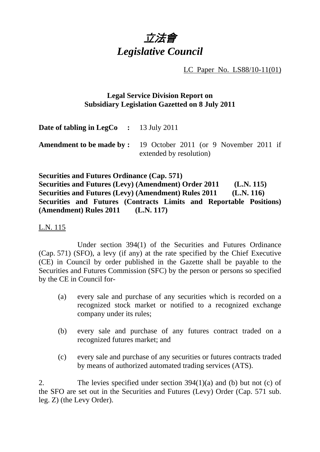

LC Paper No. LS88/10-11(01)

## **Legal Service Division Report on Subsidiary Legislation Gazetted on 8 July 2011**

**Date of tabling in LegCo :** 13 July 2011

**Amendment to be made by :** 19 October 2011 (or 9 November 2011 if extended by resolution)

**Securities and Futures Ordinance (Cap. 571) Securities and Futures (Levy) (Amendment) Order 2011 (L.N. 115) Securities and Futures (Levy) (Amendment) Rules 2011 (L.N. 116) Securities and Futures (Contracts Limits and Reportable Positions) (Amendment) Rules 2011 (L.N. 117)** 

L.N. 115

 Under section 394(1) of the Securities and Futures Ordinance (Cap. 571) (SFO), a levy (if any) at the rate specified by the Chief Executive (CE) in Council by order published in the Gazette shall be payable to the Securities and Futures Commission (SFC) by the person or persons so specified by the CE in Council for-

- (a) every sale and purchase of any securities which is recorded on a recognized stock market or notified to a recognized exchange company under its rules;
- (b) every sale and purchase of any futures contract traded on a recognized futures market; and
- (c) every sale and purchase of any securities or futures contracts traded by means of authorized automated trading services (ATS).

2. The levies specified under section 394(1)(a) and (b) but not (c) of the SFO are set out in the Securities and Futures (Levy) Order (Cap. 571 sub. leg. Z) (the Levy Order).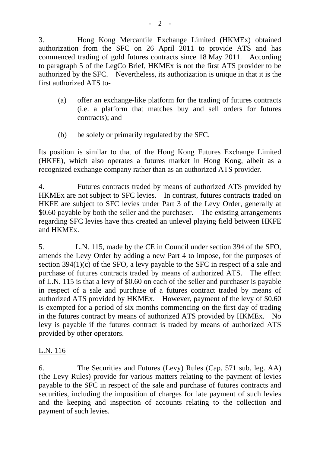3. Hong Kong Mercantile Exchange Limited (HKMEx) obtained authorization from the SFC on 26 April 2011 to provide ATS and has commenced trading of gold futures contracts since 18 May 2011. According to paragraph 5 of the LegCo Brief, HKMEx is not the first ATS provider to be authorized by the SFC. Nevertheless, its authorization is unique in that it is the first authorized ATS to-

- (a) offer an exchange-like platform for the trading of futures contracts (i.e. a platform that matches buy and sell orders for futures contracts); and
- (b) be solely or primarily regulated by the SFC.

Its position is similar to that of the Hong Kong Futures Exchange Limited (HKFE), which also operates a futures market in Hong Kong, albeit as a recognized exchange company rather than as an authorized ATS provider.

4. Futures contracts traded by means of authorized ATS provided by HKMEx are not subject to SFC levies. In contrast, futures contracts traded on HKFE are subject to SFC levies under Part 3 of the Levy Order, generally at \$0.60 payable by both the seller and the purchaser. The existing arrangements regarding SFC levies have thus created an unlevel playing field between HKFE and HKMEx.

5. L.N. 115, made by the CE in Council under section 394 of the SFO, amends the Levy Order by adding a new Part 4 to impose, for the purposes of section 394(1)(c) of the SFO, a levy payable to the SFC in respect of a sale and purchase of futures contracts traded by means of authorized ATS. The effect of L.N. 115 is that a levy of \$0.60 on each of the seller and purchaser is payable in respect of a sale and purchase of a futures contract traded by means of authorized ATS provided by HKMEx. However, payment of the levy of \$0.60 is exempted for a period of six months commencing on the first day of trading in the futures contract by means of authorized ATS provided by HKMEx. No levy is payable if the futures contract is traded by means of authorized ATS provided by other operators.

## L.N. 116

6. The Securities and Futures (Levy) Rules (Cap. 571 sub. leg. AA) (the Levy Rules) provide for various matters relating to the payment of levies payable to the SFC in respect of the sale and purchase of futures contracts and securities, including the imposition of charges for late payment of such levies and the keeping and inspection of accounts relating to the collection and payment of such levies.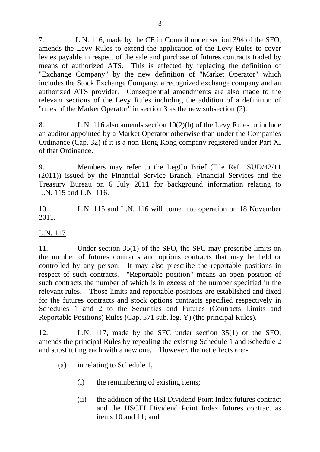7. L.N. 116, made by the CE in Council under section 394 of the SFO, amends the Levy Rules to extend the application of the Levy Rules to cover levies payable in respect of the sale and purchase of futures contracts traded by means of authorized ATS. This is effected by replacing the definition of "Exchange Company" by the new definition of "Market Operator" which includes the Stock Exchange Company, a recognized exchange company and an authorized ATS provider. Consequential amendments are also made to the relevant sections of the Levy Rules including the addition of a definition of "rules of the Market Operator" in section 3 as the new subsection (2).

8. L.N. 116 also amends section 10(2)(b) of the Levy Rules to include an auditor appointed by a Market Operator otherwise than under the Companies Ordinance (Cap. 32) if it is a non-Hong Kong company registered under Part XI of that Ordinance.

9. Members may refer to the LegCo Brief (File Ref.: SUD/42/11 (2011)) issued by the Financial Service Branch, Financial Services and the Treasury Bureau on 6 July 2011 for background information relating to L.N. 115 and L.N. 116.

10. L.N. 115 and L.N. 116 will come into operation on 18 November 2011.

## L.N. 117

11. Under section 35(1) of the SFO, the SFC may prescribe limits on the number of futures contracts and options contracts that may be held or controlled by any person. It may also prescribe the reportable positions in respect of such contracts. "Reportable position" means an open position of such contracts the number of which is in excess of the number specified in the relevant rules. Those limits and reportable positions are established and fixed for the futures contracts and stock options contracts specified respectively in Schedules 1 and 2 to the Securities and Futures (Contracts Limits and Reportable Positions) Rules (Cap. 571 sub. leg. Y) (the principal Rules).

12. L.N. 117, made by the SFC under section 35(1) of the SFO, amends the principal Rules by repealing the existing Schedule 1 and Schedule 2 and substituting each with a new one. However, the net effects are:-

- (a) in relating to Schedule 1,
	- (i) the renumbering of existing items;
	- (ii) the addition of the HSI Dividend Point Index futures contract and the HSCEI Dividend Point Index futures contract as items 10 and 11; and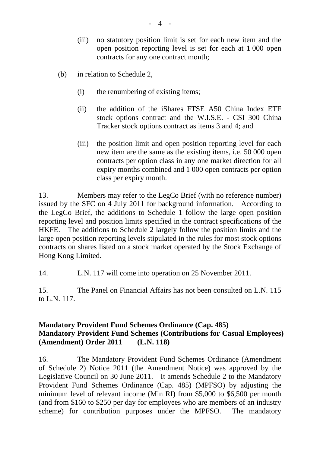- (iii) no statutory position limit is set for each new item and the open position reporting level is set for each at 1 000 open contracts for any one contract month;
- (b) in relation to Schedule 2,
	- (i) the renumbering of existing items;
	- (ii) the addition of the iShares FTSE A50 China Index ETF stock options contract and the W.I.S.E. - CSI 300 China Tracker stock options contract as items 3 and 4; and
	- (iii) the position limit and open position reporting level for each new item are the same as the existing items, i.e. 50 000 open contracts per option class in any one market direction for all expiry months combined and 1 000 open contracts per option class per expiry month.

13. Members may refer to the LegCo Brief (with no reference number) issued by the SFC on 4 July 2011 for background information. According to the LegCo Brief, the additions to Schedule 1 follow the large open position reporting level and position limits specified in the contract specifications of the HKFE. The additions to Schedule 2 largely follow the position limits and the large open position reporting levels stipulated in the rules for most stock options contracts on shares listed on a stock market operated by the Stock Exchange of Hong Kong Limited.

14. L.N. 117 will come into operation on 25 November 2011.

15. The Panel on Financial Affairs has not been consulted on L.N. 115 to L.N. 117.

## **Mandatory Provident Fund Schemes Ordinance (Cap. 485) Mandatory Provident Fund Schemes (Contributions for Casual Employees) (Amendment) Order 2011 (L.N. 118)**

16. The Mandatory Provident Fund Schemes Ordinance (Amendment of Schedule 2) Notice 2011 (the Amendment Notice) was approved by the Legislative Council on 30 June 2011. It amends Schedule 2 to the Mandatory Provident Fund Schemes Ordinance (Cap. 485) (MPFSO) by adjusting the minimum level of relevant income (Min RI) from \$5,000 to \$6,500 per month (and from \$160 to \$250 per day for employees who are members of an industry scheme) for contribution purposes under the MPFSO. The mandatory